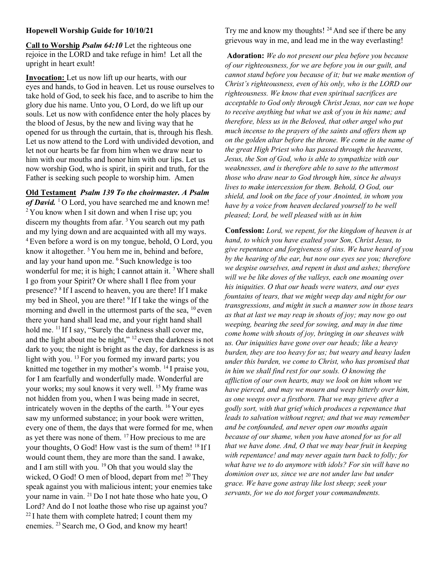## Hopewell Worship Guide for 10/10/21

Call to Worship *Psalm 64:10* Let the righteous one rejoice in the LORD and take refuge in him! Let all the upright in heart exult!

Invocation: Let us now lift up our hearts, with our eyes and hands, to God in heaven. Let us rouse ourselves to take hold of God, to seek his face, and to ascribe to him the glory due his name. Unto you, O Lord, do we lift up our souls. Let us now with confidence enter the holy places by the blood of Jesus, by the new and living way that he opened for us through the curtain, that is, through his flesh. Let us now attend to the Lord with undivided devotion, and let not our hearts be far from him when we draw near to him with our mouths and honor him with our lips. Let us now worship God, who is spirit, in spirit and truth, for the Father is seeking such people to worship him. Amen

Old Testament Psalm 139 To the choirmaster. A Psalm of David. <sup>1</sup>O Lord, you have searched me and known me! <sup>2</sup> You know when I sit down and when I rise up; you discern my thoughts from afar.  $3$  You search out my path and my lying down and are acquainted with all my ways. <sup>4</sup>Even before a word is on my tongue, behold, O Lord, you know it altogether. <sup>5</sup> You hem me in, behind and before, and lay your hand upon me. <sup>6</sup> Such knowledge is too wonderful for me; it is high; I cannot attain it. <sup>7</sup> Where shall I go from your Spirit? Or where shall I flee from your presence? <sup>8</sup>If I ascend to heaven, you are there! If I make my bed in Sheol, you are there! <sup>9</sup> If I take the wings of the morning and dwell in the uttermost parts of the sea,  $^{10}$  even there your hand shall lead me, and your right hand shall hold me.  $^{11}$  If I say, "Surely the darkness shall cover me, and the light about me be night,"  $12$  even the darkness is not dark to you; the night is bright as the day, for darkness is as light with you.  $^{13}$  For you formed my inward parts; you knitted me together in my mother's womb. <sup>14</sup>I praise you, for I am fearfully and wonderfully made. Wonderful are your works; my soul knows it very well. <sup>15</sup> My frame was not hidden from you, when I was being made in secret, intricately woven in the depths of the earth. <sup>16</sup>Your eyes saw my unformed substance; in your book were written, every one of them, the days that were formed for me, when as yet there was none of them.  $17$  How precious to me are your thoughts, O God! How vast is the sum of them!  $^{18}$  If I would count them, they are more than the sand. I awake, and I am still with you.<sup>19</sup> Oh that you would slay the wicked, O God! O men of blood, depart from me!  $^{20}$  They speak against you with malicious intent; your enemies take your name in vain. <sup>21</sup> Do I not hate those who hate you, O Lord? And do I not loathe those who rise up against you?  $22$  I hate them with complete hatred; I count them my enemies. <sup>23</sup> Search me, O God, and know my heart!

Try me and know my thoughts!  $24$  And see if there be any grievous way in me, and lead me in the way everlasting!

Adoration: We do not present our plea before you because of our righteousness, for we are before you in our guilt, and cannot stand before you because of it; but we make mention of Christ's righteousness, even of his only, who is the LORD our righteousness. We know that even spiritual sacrifices are acceptable to God only through Christ Jesus, nor can we hope to receive anything but what we ask of you in his name; and therefore, bless us in the Beloved, that other angel who put much incense to the prayers of the saints and offers them up on the golden altar before the throne. We come in the name of the great High Priest who has passed through the heavens, Jesus, the Son of God, who is able to sympathize with our weaknesses, and is therefore able to save to the uttermost those who draw near to God through him, since he always lives to make intercession for them. Behold, O God, our shield, and look on the face of your Anointed, in whom you have by a voice from heaven declared yourself to be well pleased; Lord, be well pleased with us in him

Confession: Lord, we repent, for the kingdom of heaven is at hand, to which you have exalted your Son, Christ Jesus, to give repentance and forgiveness of sins. We have heard of you by the hearing of the ear, but now our eyes see you; therefore we despise ourselves, and repent in dust and ashes; therefore will we be like doves of the valleys, each one moaning over his iniquities. O that our heads were waters, and our eyes fountains of tears, that we might weep day and night for our transgressions, and might in such a manner sow in those tears as that at last we may reap in shouts of joy; may now go out weeping, bearing the seed for sowing, and may in due time come home with shouts of joy, bringing in our sheaves with us. Our iniquities have gone over our heads; like a heavy burden, they are too heavy for us; but weary and heavy laden under this burden, we come to Christ, who has promised that in him we shall find rest for our souls. O knowing the affliction of our own hearts, may we look on him whom we have pierced, and may we mourn and weep bitterly over him, as one weeps over a firstborn. That we may grieve after a godly sort, with that grief which produces a repentance that leads to salvation without regret; and that we may remember and be confounded, and never open our mouths again because of our shame, when you have atoned for us for all that we have done. And, O that we may bear fruit in keeping with repentance! and may never again turn back to folly; for what have we to do anymore with idols? For sin will have no dominion over us, since we are not under law but under grace. We have gone astray like lost sheep; seek your servants, for we do not forget your commandments.